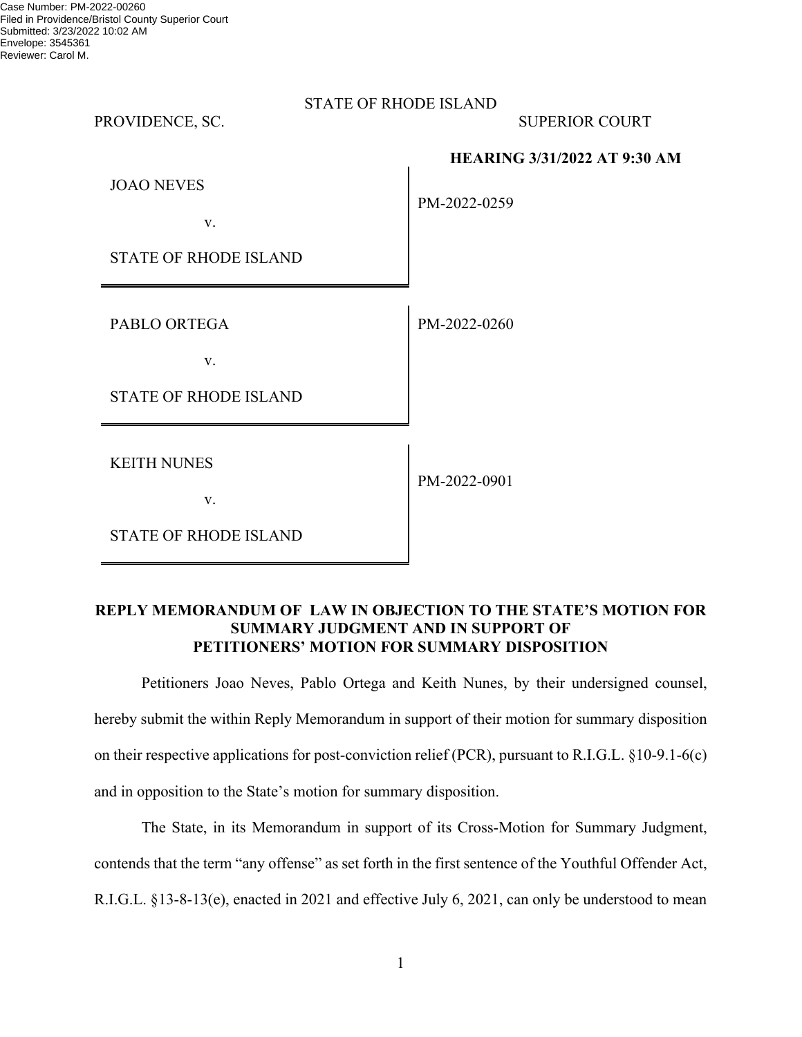| <b>STATE OF RHODE ISLAND</b> |
|------------------------------|
|------------------------------|

PROVIDENCE, SC. SUPERIOR COURT

**HEARING 3/31/2022 AT 9:30 AM**

| <b>JOAO NEVES</b> |  |
|-------------------|--|
|                   |  |

PM-2022-0259

PM-2022-0260

STATE OF RHODE ISLAND

v.

PABLO ORTEGA

v.

STATE OF RHODE ISLAND

KEITH NUNES

v.

PM-2022-0901

STATE OF RHODE ISLAND

# **REPLY MEMORANDUM OF LAW IN OBJECTION TO THE STATE'S MOTION FOR SUMMARY JUDGMENT AND IN SUPPORT OF PETITIONERS' MOTION FOR SUMMARY DISPOSITION**

 Petitioners Joao Neves, Pablo Ortega and Keith Nunes, by their undersigned counsel, hereby submit the within Reply Memorandum in support of their motion for summary disposition on their respective applications for post-conviction relief (PCR), pursuant to R.I.G.L. §10-9.1-6(c) and in opposition to the State's motion for summary disposition.

 The State, in its Memorandum in support of its Cross-Motion for Summary Judgment, contends that the term "any offense" as set forth in the first sentence of the Youthful Offender Act, R.I.G.L. §13-8-13(e), enacted in 2021 and effective July 6, 2021, can only be understood to mean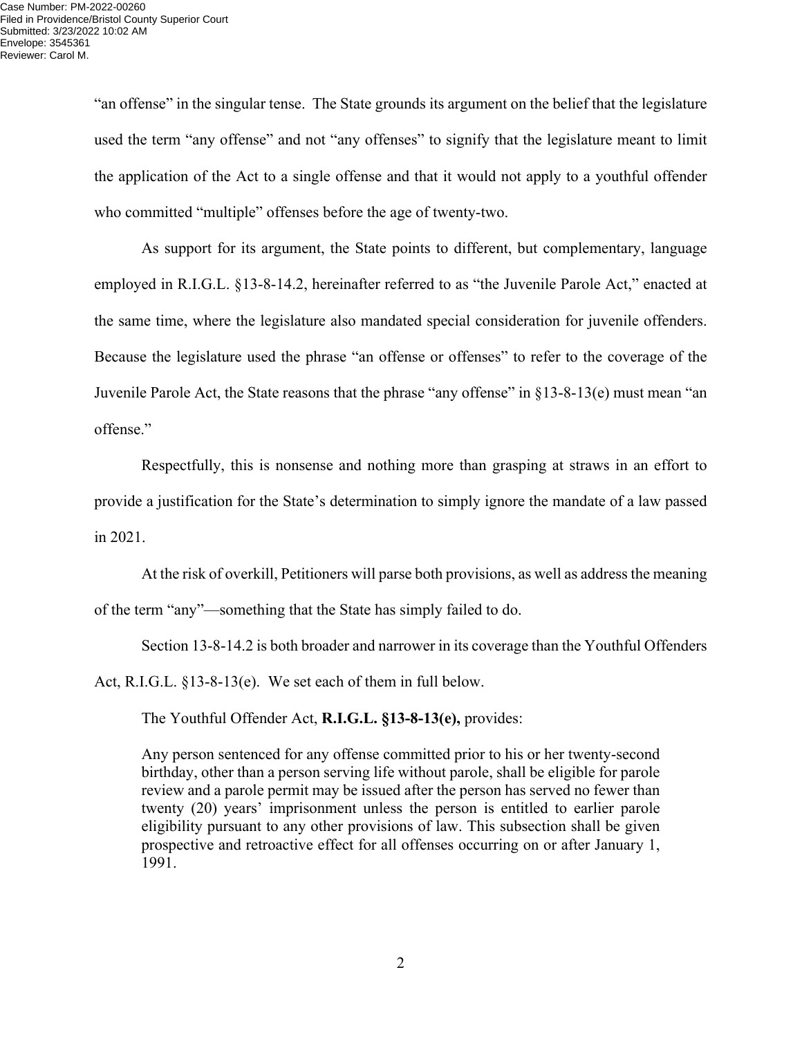"an offense" in the singular tense. The State grounds its argument on the belief that the legislature used the term "any offense" and not "any offenses" to signify that the legislature meant to limit the application of the Act to a single offense and that it would not apply to a youthful offender who committed "multiple" offenses before the age of twenty-two.

 As support for its argument, the State points to different, but complementary, language employed in R.I.G.L. §13-8-14.2, hereinafter referred to as "the Juvenile Parole Act," enacted at the same time, where the legislature also mandated special consideration for juvenile offenders. Because the legislature used the phrase "an offense or offenses" to refer to the coverage of the Juvenile Parole Act, the State reasons that the phrase "any offense" in §13-8-13(e) must mean "an offense."

 Respectfully, this is nonsense and nothing more than grasping at straws in an effort to provide a justification for the State's determination to simply ignore the mandate of a law passed in 2021.

 At the risk of overkill, Petitioners will parse both provisions, as well as address the meaning of the term "any"—something that the State has simply failed to do.

 Section 13-8-14.2 is both broader and narrower in its coverage than the Youthful Offenders Act, R.I.G.L. §13-8-13(e). We set each of them in full below.

The Youthful Offender Act, **R.I.G.L. §13-8-13(e),** provides:

Any person sentenced for any offense committed prior to his or her twenty-second birthday, other than a person serving life without parole, shall be eligible for parole review and a parole permit may be issued after the person has served no fewer than twenty (20) years' imprisonment unless the person is entitled to earlier parole eligibility pursuant to any other provisions of law. This subsection shall be given prospective and retroactive effect for all offenses occurring on or after January 1, 1991.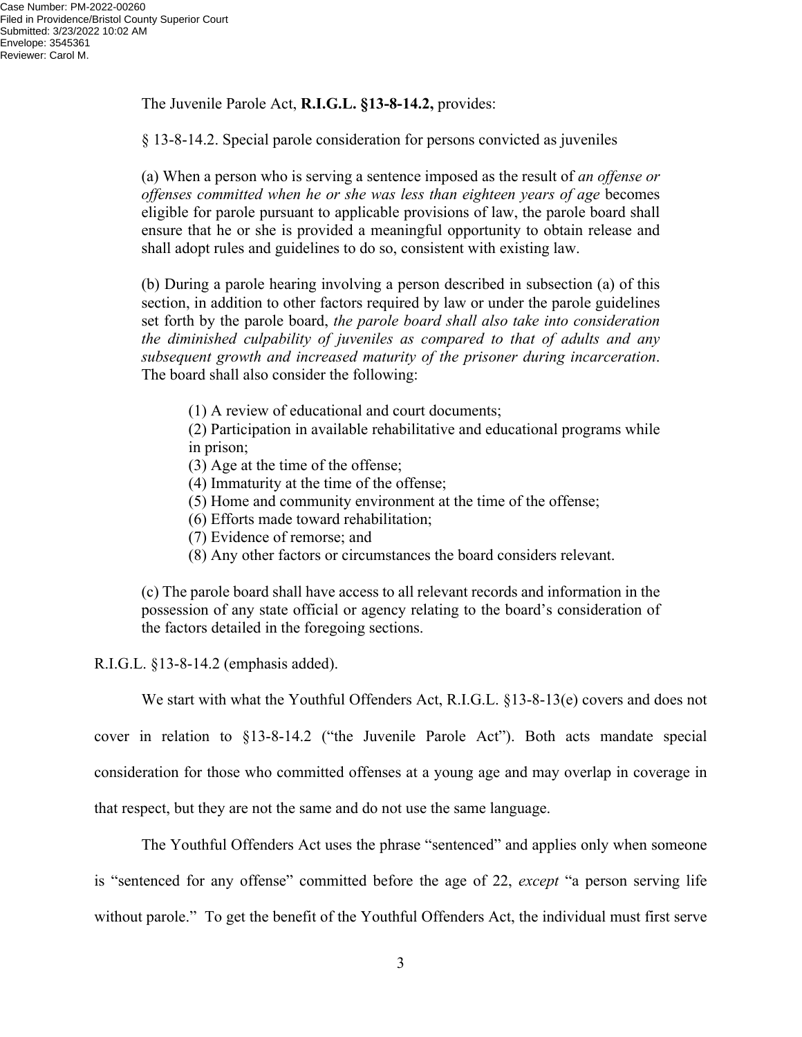The Juvenile Parole Act, **R.I.G.L. §13-8-14.2,** provides:

§ 13-8-14.2. Special parole consideration for persons convicted as juveniles

(a) When a person who is serving a sentence imposed as the result of *an offense or offenses committed when he or she was less than eighteen years of age* becomes eligible for parole pursuant to applicable provisions of law, the parole board shall ensure that he or she is provided a meaningful opportunity to obtain release and shall adopt rules and guidelines to do so, consistent with existing law.

(b) During a parole hearing involving a person described in subsection (a) of this section, in addition to other factors required by law or under the parole guidelines set forth by the parole board, *the parole board shall also take into consideration the diminished culpability of juveniles as compared to that of adults and any subsequent growth and increased maturity of the prisoner during incarceration*. The board shall also consider the following:

(1) A review of educational and court documents;

(2) Participation in available rehabilitative and educational programs while in prison;

(3) Age at the time of the offense;

(4) Immaturity at the time of the offense;

(5) Home and community environment at the time of the offense;

(6) Efforts made toward rehabilitation;

- (7) Evidence of remorse; and
- (8) Any other factors or circumstances the board considers relevant.

(c) The parole board shall have access to all relevant records and information in the possession of any state official or agency relating to the board's consideration of the factors detailed in the foregoing sections.

R.I.G.L. §13-8-14.2 (emphasis added).

We start with what the Youthful Offenders Act, R.I.G.L. §13-8-13(e) covers and does not

cover in relation to §13-8-14.2 ("the Juvenile Parole Act"). Both acts mandate special consideration for those who committed offenses at a young age and may overlap in coverage in that respect, but they are not the same and do not use the same language.

 The Youthful Offenders Act uses the phrase "sentenced" and applies only when someone is "sentenced for any offense" committed before the age of 22, *except* "a person serving life

without parole." To get the benefit of the Youthful Offenders Act, the individual must first serve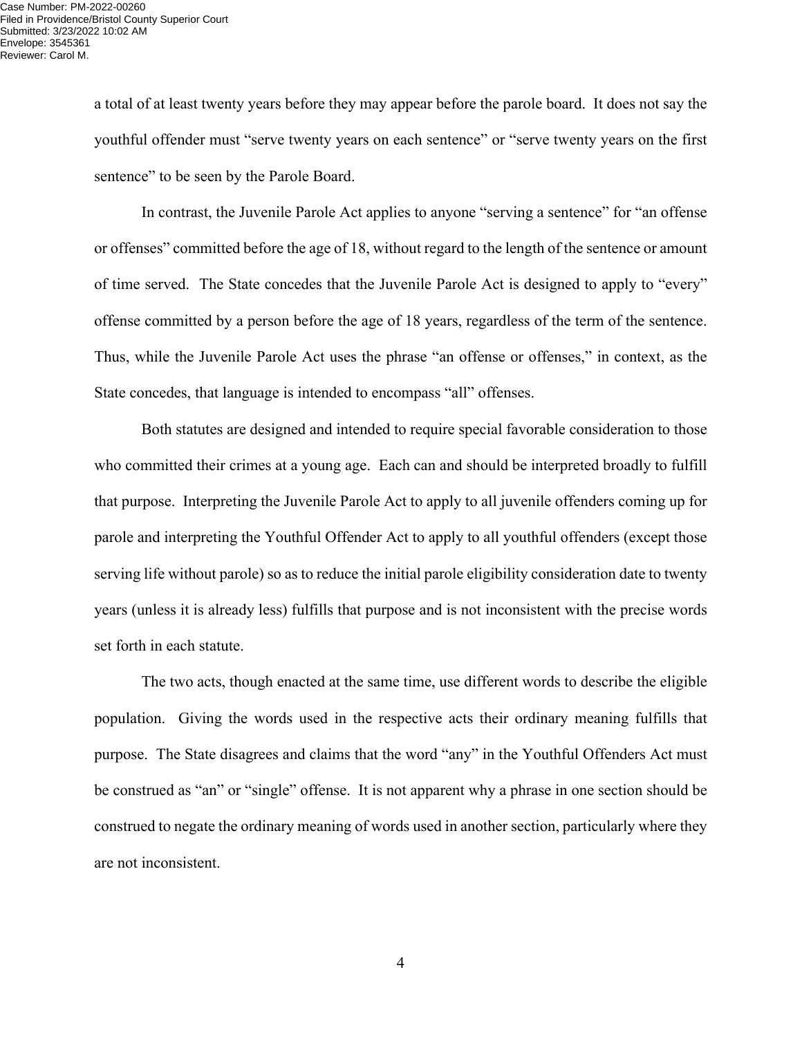a total of at least twenty years before they may appear before the parole board. It does not say the youthful offender must "serve twenty years on each sentence" or "serve twenty years on the first sentence" to be seen by the Parole Board.

 In contrast, the Juvenile Parole Act applies to anyone "serving a sentence" for "an offense or offenses" committed before the age of 18, without regard to the length of the sentence or amount of time served. The State concedes that the Juvenile Parole Act is designed to apply to "every" offense committed by a person before the age of 18 years, regardless of the term of the sentence. Thus, while the Juvenile Parole Act uses the phrase "an offense or offenses," in context, as the State concedes, that language is intended to encompass "all" offenses.

 Both statutes are designed and intended to require special favorable consideration to those who committed their crimes at a young age. Each can and should be interpreted broadly to fulfill that purpose. Interpreting the Juvenile Parole Act to apply to all juvenile offenders coming up for parole and interpreting the Youthful Offender Act to apply to all youthful offenders (except those serving life without parole) so as to reduce the initial parole eligibility consideration date to twenty years (unless it is already less) fulfills that purpose and is not inconsistent with the precise words set forth in each statute.

 The two acts, though enacted at the same time, use different words to describe the eligible population. Giving the words used in the respective acts their ordinary meaning fulfills that purpose. The State disagrees and claims that the word "any" in the Youthful Offenders Act must be construed as "an" or "single" offense. It is not apparent why a phrase in one section should be construed to negate the ordinary meaning of words used in another section, particularly where they are not inconsistent.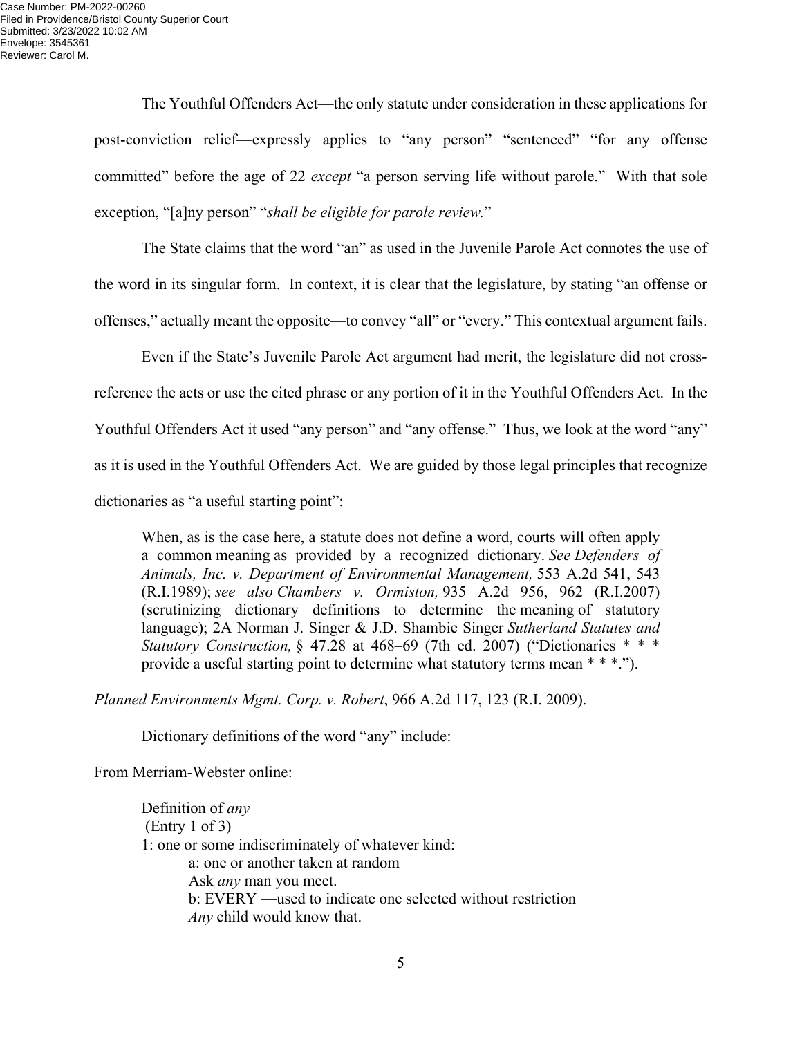The Youthful Offenders Act—the only statute under consideration in these applications for post-conviction relief—expressly applies to "any person" "sentenced" "for any offense committed" before the age of 22 *except* "a person serving life without parole." With that sole exception, "[a]ny person" "*shall be eligible for parole review.*"

 The State claims that the word "an" as used in the Juvenile Parole Act connotes the use of the word in its singular form. In context, it is clear that the legislature, by stating "an offense or offenses," actually meant the opposite—to convey "all" or "every." This contextual argument fails.

 Even if the State's Juvenile Parole Act argument had merit, the legislature did not crossreference the acts or use the cited phrase or any portion of it in the Youthful Offenders Act. In the Youthful Offenders Act it used "any person" and "any offense." Thus, we look at the word "any" as it is used in the Youthful Offenders Act. We are guided by those legal principles that recognize dictionaries as "a useful starting point":

When, as is the case here, a statute does not define a word, courts will often apply a common meaning as provided by a recognized dictionary. *See Defenders of Animals, Inc. v. Department of Environmental Management,* 553 A.2d 541, 543 (R.I.1989); *see also Chambers v. Ormiston,* 935 A.2d 956, 962 (R.I.2007) (scrutinizing dictionary definitions to determine the meaning of statutory language); 2A Norman J. Singer & J.D. Shambie Singer *Sutherland Statutes and Statutory Construction,* § 47.28 at 468–69 (7th ed. 2007) ("Dictionaries \* \* \* provide a useful starting point to determine what statutory terms mean \* \* \*.").

*Planned Environments Mgmt. Corp. v. Robert*, 966 A.2d 117, 123 (R.I. 2009).

Dictionary definitions of the word "any" include:

From Merriam-Webster online:

Definition of *any* (Entry 1 of 3) 1: one or some indiscriminately of whatever kind: a: one or another taken at random Ask *any* man you meet. b: EVERY —used to indicate one selected without restriction *Any* child would know that.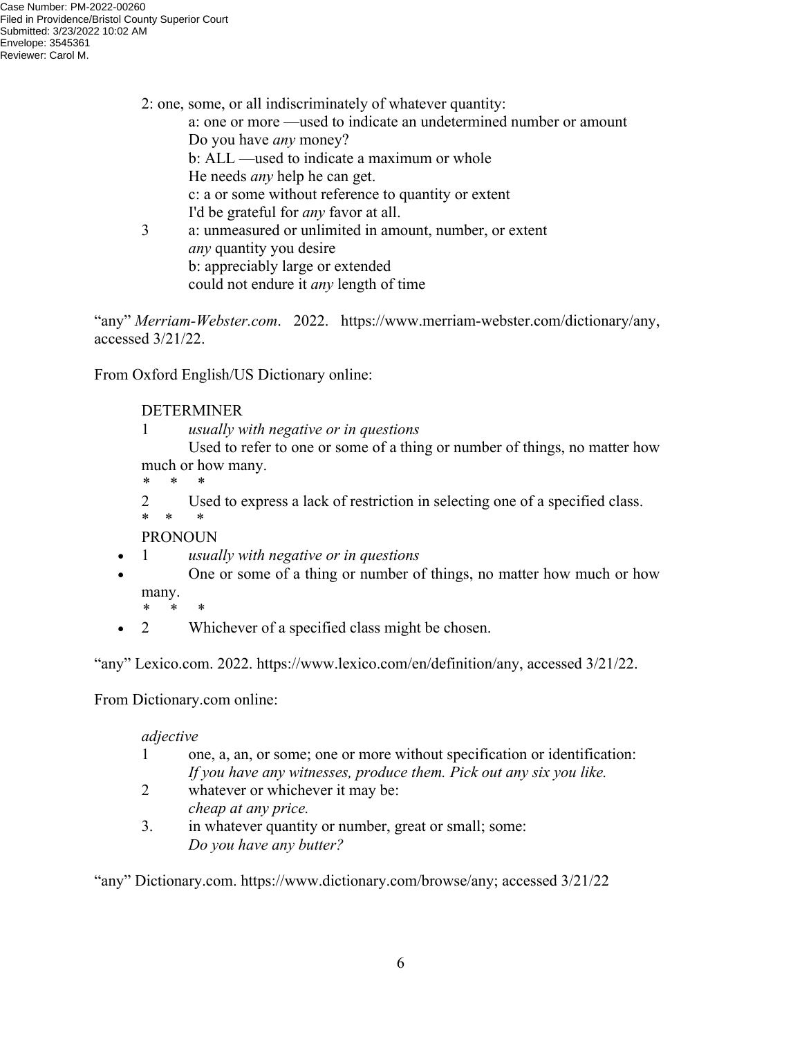2: one, some, or all indiscriminately of whatever quantity: a: one or more —used to indicate an undetermined number or amount Do you have *any* money? b: ALL —used to indicate a maximum or whole He needs *any* help he can get. c: a or some without reference to quantity or extent I'd be grateful for *any* favor at all. 3 a: unmeasured or unlimited in amount, number, or extent *any* quantity you desire

b: appreciably large or extended

could not endure it *any* length of time

"any" *Merriam-Webster.com*. 2022. https://www.merriam-webster.com/dictionary/any, accessed 3/21/22.

From Oxford English/US Dictionary online:

# DETERMINER

1 *usually with negative or in questions*

 Used to refer to one or some of a thing or number of things, no matter how much or how many.

*\* \* \**

2 Used to express a lack of restriction in selecting one of a specified class. \* \* \*

PRONOUN

- 1 *usually with negative or in questions*
- One or some of a thing or number of things, no matter how much or how many.
	- *\* \* \**
- 2 Whichever of a specified class might be chosen.

"any" Lexico.com. 2022. https://www.lexico.com/en/definition/any, accessed 3/21/22.

From Dictionary.com online:

### *adjective*

- 1 one, a, an, or some; one or more without specification or identification: *If you have any witnesses, produce them. Pick out any six you like.*
- 2 whatever or whichever it may be: *cheap at any price.*
- 3. in whatever quantity or number, great or small; some: *Do you have any butter?*

"any" Dictionary.com. https://www.dictionary.com/browse/any; accessed 3/21/22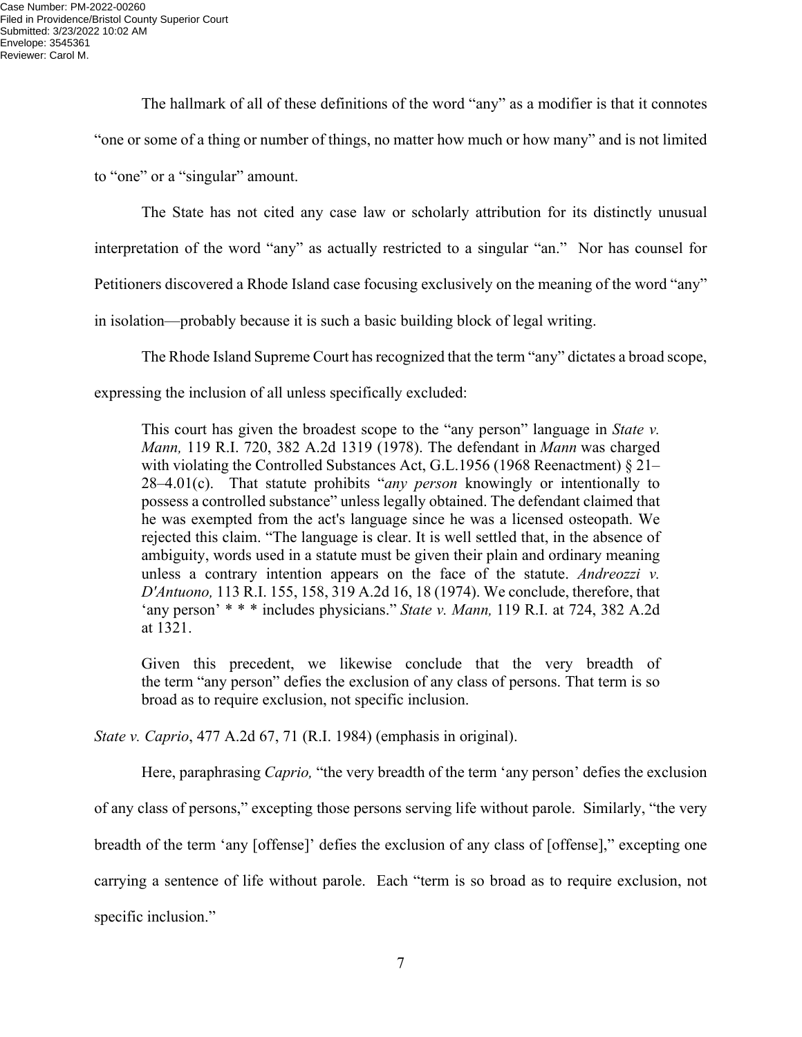The hallmark of all of these definitions of the word "any" as a modifier is that it connotes "one or some of a thing or number of things, no matter how much or how many" and is not limited to "one" or a "singular" amount.

 The State has not cited any case law or scholarly attribution for its distinctly unusual interpretation of the word "any" as actually restricted to a singular "an." Nor has counsel for Petitioners discovered a Rhode Island case focusing exclusively on the meaning of the word "any" in isolation—probably because it is such a basic building block of legal writing.

 The Rhode Island Supreme Court has recognized that the term "any" dictates a broad scope, expressing the inclusion of all unless specifically excluded:

This court has given the broadest scope to the "any person" language in *State v. Mann,* 119 R.I. 720, 382 A.2d 1319 (1978). The defendant in *Mann* was charged with violating the Controlled Substances Act, G.L.1956 (1968 Reenactment) § 21– 28–4.01(c). That statute prohibits "*any person* knowingly or intentionally to possess a controlled substance" unless legally obtained. The defendant claimed that he was exempted from the act's language since he was a licensed osteopath. We rejected this claim. "The language is clear. It is well settled that, in the absence of ambiguity, words used in a statute must be given their plain and ordinary meaning unless a contrary intention appears on the face of the statute. *Andreozzi v. D'Antuono,* 113 R.I. 155, 158, 319 A.2d 16, 18 (1974). We conclude, therefore, that 'any person' \* \* \* includes physicians." *State v. Mann,* 119 R.I. at 724, 382 A.2d at 1321.

Given this precedent, we likewise conclude that the very breadth of the term "any person" defies the exclusion of any class of persons. That term is so broad as to require exclusion, not specific inclusion.

*State v. Caprio*, 477 A.2d 67, 71 (R.I. 1984) (emphasis in original).

 Here, paraphrasing *Caprio,* "the very breadth of the term 'any person' defies the exclusion of any class of persons," excepting those persons serving life without parole. Similarly, "the very breadth of the term 'any [offense]' defies the exclusion of any class of [offense]," excepting one carrying a sentence of life without parole. Each "term is so broad as to require exclusion, not specific inclusion."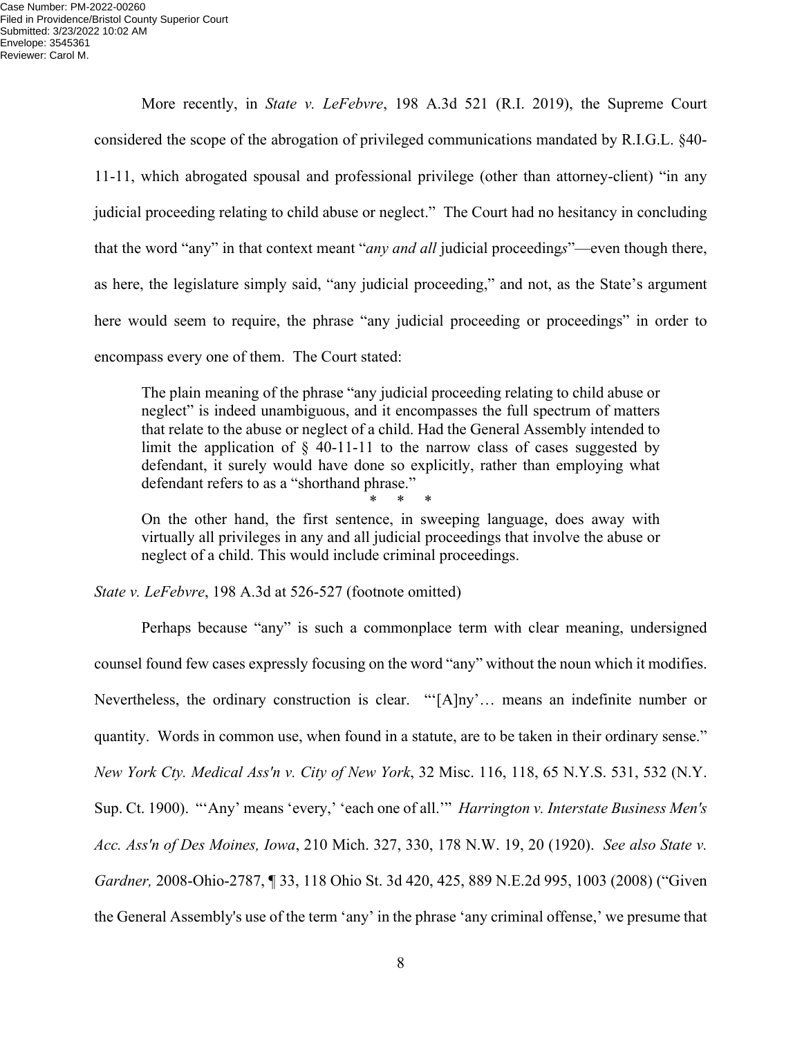More recently, in *State v. LeFebvre*, 198 A.3d 521 (R.I. 2019), the Supreme Court considered the scope of the abrogation of privileged communications mandated by R.I.G.L. §40- 11-11, which abrogated spousal and professional privilege (other than attorney-client) "in any judicial proceeding relating to child abuse or neglect." The Court had no hesitancy in concluding that the word "any" in that context meant "*any and all* judicial proceeding*s*"—even though there, as here, the legislature simply said, "any judicial proceeding," and not, as the State's argument here would seem to require, the phrase "any judicial proceeding or proceedings" in order to encompass every one of them. The Court stated:

The plain meaning of the phrase "any judicial proceeding relating to child abuse or neglect" is indeed unambiguous, and it encompasses the full spectrum of matters that relate to the abuse or neglect of a child. Had the General Assembly intended to limit the application of  $\S$  40-11-11 to the narrow class of cases suggested by defendant, it surely would have done so explicitly, rather than employing what defendant refers to as a "shorthand phrase."

\* \* \* On the other hand, the first sentence, in sweeping language, does away with virtually all privileges in any and all judicial proceedings that involve the abuse or neglect of a child. This would include criminal proceedings.

*State v. LeFebvre*, 198 A.3d at 526-527 (footnote omitted)

 Perhaps because "any" is such a commonplace term with clear meaning, undersigned counsel found few cases expressly focusing on the word "any" without the noun which it modifies. Nevertheless, the ordinary construction is clear. "'[A]ny'… means an indefinite number or quantity. Words in common use, when found in a statute, are to be taken in their ordinary sense." *New York Cty. Medical Ass'n v. City of New York*, 32 Misc. 116, 118, 65 N.Y.S. 531, 532 (N.Y. Sup. Ct. 1900). "'Any' means 'every,' 'each one of all.'" *Harrington v. Interstate Business Men's Acc. Ass'n of Des Moines, Iowa*, 210 Mich. 327, 330, 178 N.W. 19, 20 (1920). *See also State v. Gardner,* 2008-Ohio-2787, ¶ 33, 118 Ohio St. 3d 420, 425, 889 N.E.2d 995, 1003 (2008) ("Given the General Assembly's use of the term 'any' in the phrase 'any criminal offense,' we presume that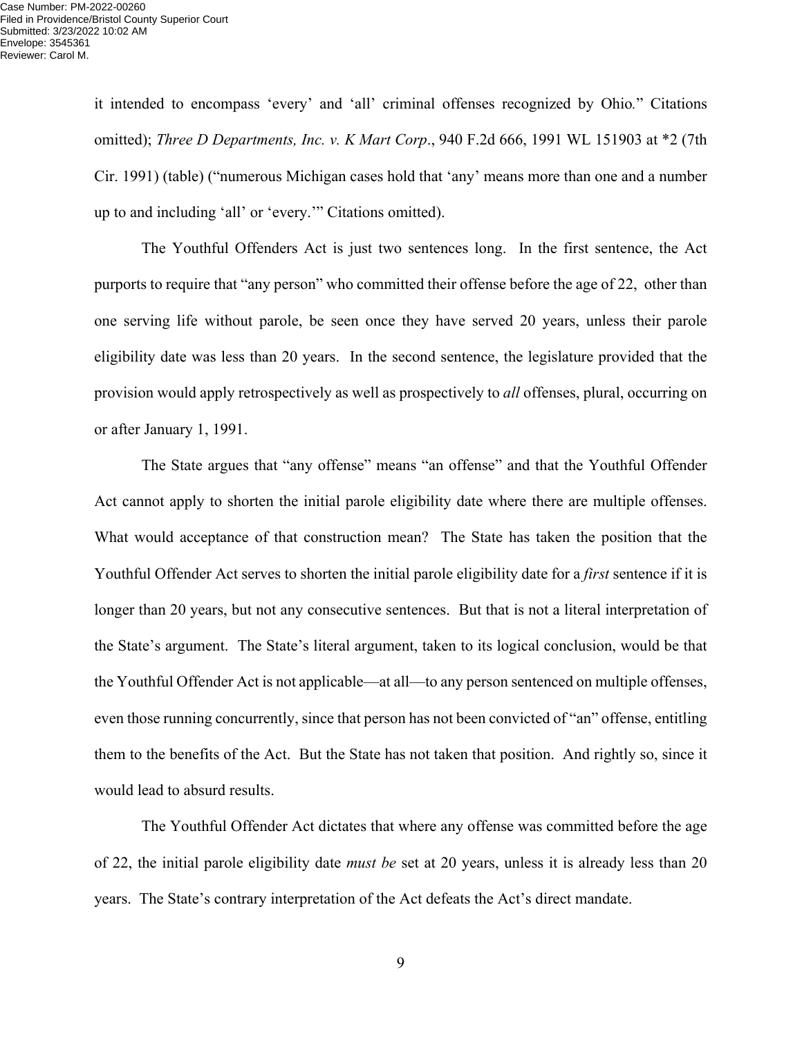it intended to encompass 'every' and 'all' criminal offenses recognized by Ohio*.*" Citations omitted); *Three D Departments, Inc. v. K Mart Corp*., 940 F.2d 666, 1991 WL 151903 at \*2 (7th Cir. 1991) (table) ("numerous Michigan cases hold that 'any' means more than one and a number up to and including 'all' or 'every.'" Citations omitted).

 The Youthful Offenders Act is just two sentences long. In the first sentence, the Act purports to require that "any person" who committed their offense before the age of 22, other than one serving life without parole, be seen once they have served 20 years, unless their parole eligibility date was less than 20 years. In the second sentence, the legislature provided that the provision would apply retrospectively as well as prospectively to *all* offenses, plural, occurring on or after January 1, 1991.

 The State argues that "any offense" means "an offense" and that the Youthful Offender Act cannot apply to shorten the initial parole eligibility date where there are multiple offenses. What would acceptance of that construction mean? The State has taken the position that the Youthful Offender Act serves to shorten the initial parole eligibility date for a *first* sentence if it is longer than 20 years, but not any consecutive sentences. But that is not a literal interpretation of the State's argument. The State's literal argument, taken to its logical conclusion, would be that the Youthful Offender Act is not applicable—at all—to any person sentenced on multiple offenses, even those running concurrently, since that person has not been convicted of "an" offense, entitling them to the benefits of the Act. But the State has not taken that position. And rightly so, since it would lead to absurd results.

 The Youthful Offender Act dictates that where any offense was committed before the age of 22, the initial parole eligibility date *must be* set at 20 years, unless it is already less than 20 years. The State's contrary interpretation of the Act defeats the Act's direct mandate.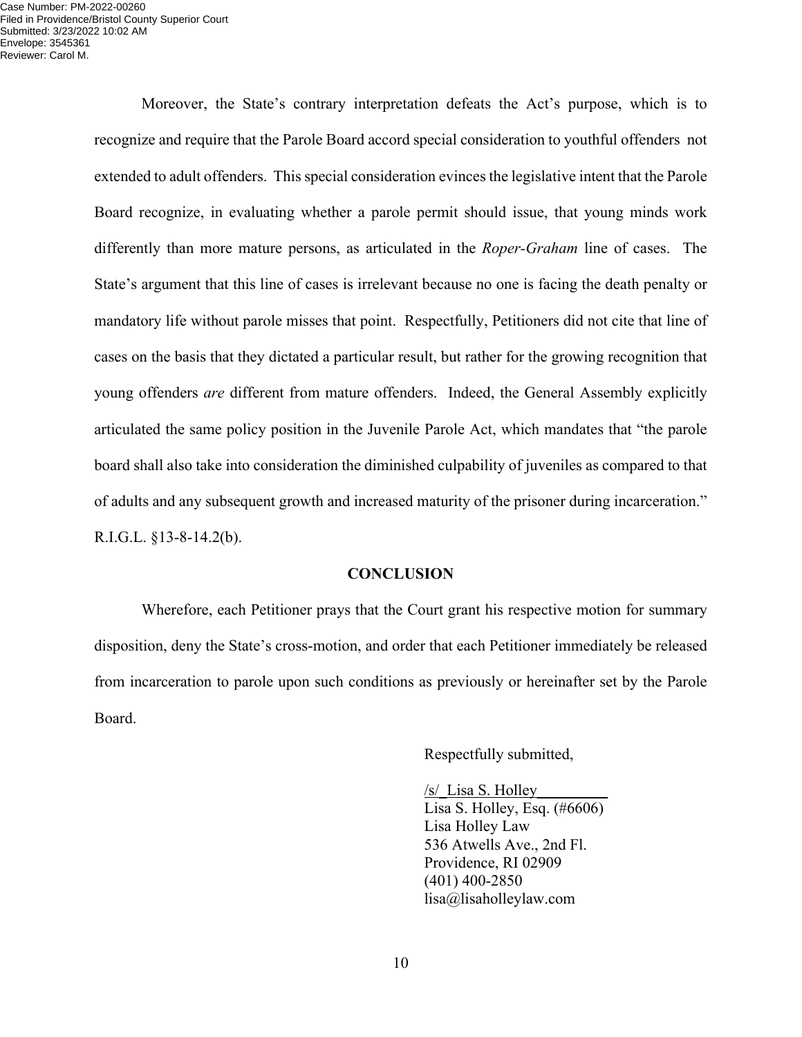Case Number: PM-2022-00260 Filed in Providence/Bristol County Superior Court Submitted: 3/23/2022 10:02 AM Envelope: 3545361 Reviewer: Carol M.

> Moreover, the State's contrary interpretation defeats the Act's purpose, which is to recognize and require that the Parole Board accord special consideration to youthful offenders not extended to adult offenders. This special consideration evinces the legislative intent that the Parole Board recognize, in evaluating whether a parole permit should issue, that young minds work differently than more mature persons, as articulated in the *Roper-Graham* line of cases. The State's argument that this line of cases is irrelevant because no one is facing the death penalty or mandatory life without parole misses that point. Respectfully, Petitioners did not cite that line of cases on the basis that they dictated a particular result, but rather for the growing recognition that young offenders *are* different from mature offenders. Indeed, the General Assembly explicitly articulated the same policy position in the Juvenile Parole Act, which mandates that "the parole board shall also take into consideration the diminished culpability of juveniles as compared to that of adults and any subsequent growth and increased maturity of the prisoner during incarceration." R.I.G.L. §13-8-14.2(b).

#### **CONCLUSION**

 Wherefore, each Petitioner prays that the Court grant his respective motion for summary disposition, deny the State's cross-motion, and order that each Petitioner immediately be released from incarceration to parole upon such conditions as previously or hereinafter set by the Parole Board.

Respectfully submitted,

 /s/\_Lisa S. Holley\_\_\_\_\_\_\_\_\_ Lisa S. Holley, Esq. (#6606) Lisa Holley Law 536 Atwells Ave., 2nd Fl. Providence, RI 02909 (401) 400-2850 lisa@lisaholleylaw.com